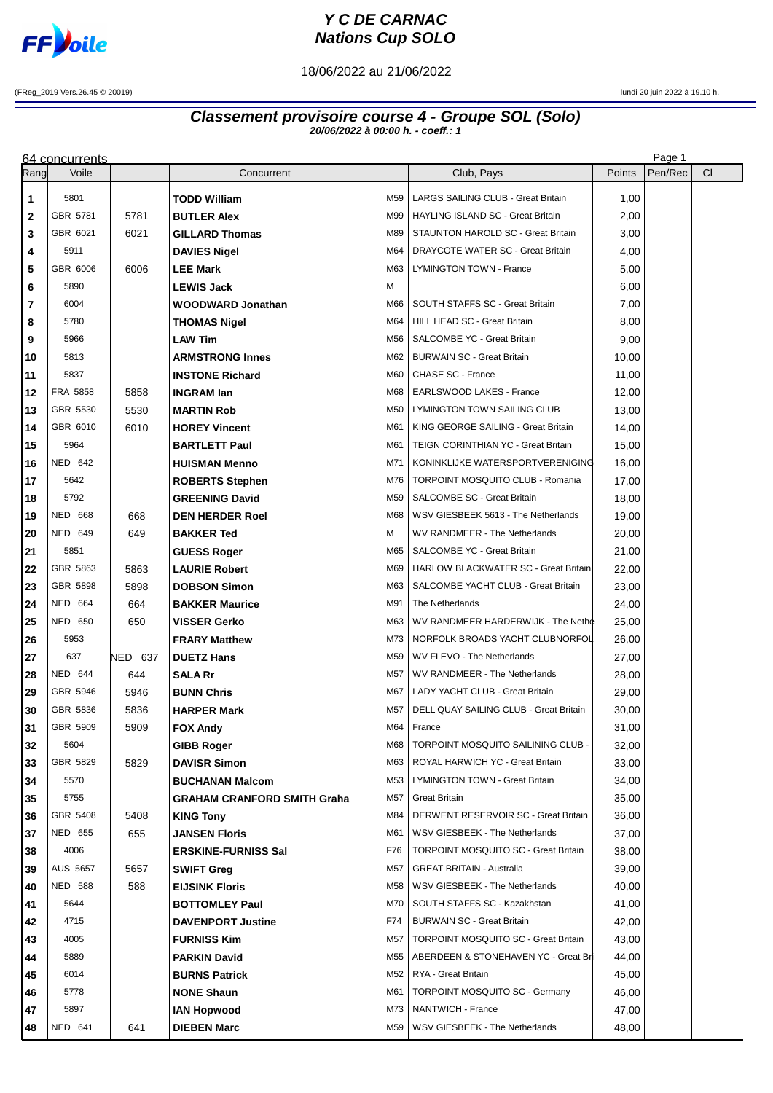

## **Y C DE CARNAC Nations Cup SOLO**

18/06/2022 au 21/06/2022

(FReg\_2019 Vers.26.45 © 20019) lundi 20 juin 2022 à 19.10 h.

## **Classement provisoire course 4 - Groupe SOL (Solo) 20/06/2022 à 00:00 h. - coeff.: 1**

| Page 1<br>64 concurrents |                  |         |                                                              |            |                                              |                |         |     |  |  |  |
|--------------------------|------------------|---------|--------------------------------------------------------------|------------|----------------------------------------------|----------------|---------|-----|--|--|--|
| Rangl                    | Voile            |         | Concurrent                                                   |            | Club, Pays                                   | Points         | Pen/Rec | CI. |  |  |  |
| 1                        | 5801             |         | <b>TODD William</b>                                          | M59        | LARGS SAILING CLUB - Great Britain           | 1,00           |         |     |  |  |  |
| 2                        | GBR 5781         | 5781    | <b>BUTLER Alex</b>                                           | M99        | HAYLING ISLAND SC - Great Britain            | 2,00           |         |     |  |  |  |
| 3                        | GBR 6021         | 6021    | <b>GILLARD Thomas</b>                                        | M89        | STAUNTON HAROLD SC - Great Britain           | 3,00           |         |     |  |  |  |
| 4                        | 5911             |         | <b>DAVIES Nigel</b>                                          | M64        | DRAYCOTE WATER SC - Great Britain            | 4,00           |         |     |  |  |  |
| 5                        | GBR 6006         | 6006    | <b>LEE Mark</b>                                              | M63        | LYMINGTON TOWN - France                      | 5,00           |         |     |  |  |  |
| 6                        | 5890             |         | <b>LEWIS Jack</b>                                            | м          |                                              | 6,00           |         |     |  |  |  |
| 7                        | 6004             |         | WOODWARD Jonathan                                            | M66        | SOUTH STAFFS SC - Great Britain              | 7,00           |         |     |  |  |  |
| 8                        | 5780             |         | <b>THOMAS Nigel</b>                                          | M64        | HILL HEAD SC - Great Britain                 | 8,00           |         |     |  |  |  |
| 9                        | 5966             |         | <b>LAW Tim</b>                                               | M56        | SALCOMBE YC - Great Britain                  | 9,00           |         |     |  |  |  |
| 10                       | 5813             |         | <b>ARMSTRONG Innes</b>                                       | M62        | <b>BURWAIN SC - Great Britain</b>            | 10,00          |         |     |  |  |  |
| 11                       | 5837             |         | <b>INSTONE Richard</b>                                       | M60        | CHASE SC - France                            | 11,00          |         |     |  |  |  |
| 12                       | FRA 5858         | 5858    | <b>INGRAM lan</b>                                            | M68        | EARLSWOOD LAKES - France                     | 12,00          |         |     |  |  |  |
| 13                       | GBR 5530         | 5530    | <b>MARTIN Rob</b>                                            | M50        | LYMINGTON TOWN SAILING CLUB                  | 13,00          |         |     |  |  |  |
| 14                       | GBR 6010         | 6010    | <b>HOREY Vincent</b>                                         | M61        | KING GEORGE SAILING - Great Britain          | 14,00          |         |     |  |  |  |
| 15                       | 5964             |         | <b>BARTLETT Paul</b>                                         | M61        | TEIGN CORINTHIAN YC - Great Britain          | 15,00          |         |     |  |  |  |
| 16                       | <b>NED 642</b>   |         | <b>HUISMAN Menno</b>                                         | M71        | KONINKLIJKE WATERSPORTVERENIGING             | 16,00          |         |     |  |  |  |
| 17                       | 5642             |         | <b>ROBERTS Stephen</b>                                       | M76        | TORPOINT MOSQUITO CLUB - Romania             | 17,00          |         |     |  |  |  |
| 18                       | 5792             |         | <b>GREENING David</b>                                        | M59        | SALCOMBE SC - Great Britain                  | 18,00          |         |     |  |  |  |
| 19                       | <b>NED 668</b>   | 668     | <b>DEN HERDER Roel</b>                                       | M68        | WSV GIESBEEK 5613 - The Netherlands          | 19,00          |         |     |  |  |  |
| 20                       | NED 649          | 649     | <b>BAKKER Ted</b>                                            | м          | WV RANDMEER - The Netherlands                | 20,00          |         |     |  |  |  |
| 21                       | 5851             |         | <b>GUESS Roger</b>                                           | M65        | SALCOMBE YC - Great Britain                  | 21,00          |         |     |  |  |  |
| 22                       | GBR 5863         | 5863    | <b>LAURIE Robert</b>                                         | M69        | HARLOW BLACKWATER SC - Great Britain         | 22,00          |         |     |  |  |  |
| 23                       | GBR 5898         | 5898    | <b>DOBSON Simon</b>                                          | M63        | SALCOMBE YACHT CLUB - Great Britain          | 23,00          |         |     |  |  |  |
| 24                       | <b>NED 664</b>   | 664     | <b>BAKKER Maurice</b>                                        | M91        | The Netherlands                              | 24,00          |         |     |  |  |  |
| 25                       | <b>NED 650</b>   | 650     | <b>VISSER Gerko</b>                                          | M63        | WV RANDMEER HARDERWIJK - The Nethe           | 25,00          |         |     |  |  |  |
| 26                       | 5953             |         | <b>FRARY Matthew</b>                                         | M73        | NORFOLK BROADS YACHT CLUBNORFOL              | 26,00          |         |     |  |  |  |
| 27                       | 637              | NED 637 | <b>DUETZ Hans</b>                                            | M59        | WV FLEVO - The Netherlands                   | 27,00          |         |     |  |  |  |
| 28                       | NED 644          | 644     | <b>SALA Rr</b>                                               | M57        | WV RANDMEER - The Netherlands                | 28,00          |         |     |  |  |  |
| 29                       | GBR 5946         | 5946    | <b>BUNN Chris</b>                                            | M67        | LADY YACHT CLUB - Great Britain              | 29,00          |         |     |  |  |  |
| 30                       | GBR 5836         | 5836    | <b>HARPER Mark</b>                                           | M57        | DELL QUAY SAILING CLUB - Great Britain       | 30,00          |         |     |  |  |  |
| 31                       | GBR 5909<br>5604 | 5909    | <b>FOX Andy</b>                                              | M64<br>M68 | France<br>TORPOINT MOSQUITO SAILINING CLUB - | 31,00          |         |     |  |  |  |
| 32<br>33                 | GBR 5829         | 5829    | <b>GIBB Roger</b><br><b>DAVISR Simon</b>                     | M63        | ROYAL HARWICH YC - Great Britain             | 32,00<br>33,00 |         |     |  |  |  |
| 34                       | 5570             |         |                                                              | M53        | LYMINGTON TOWN - Great Britain               | 34,00          |         |     |  |  |  |
| 35                       | 5755             |         | <b>BUCHANAN Malcom</b><br><b>GRAHAM CRANFORD SMITH Graha</b> | M57        | Great Britain                                | 35,00          |         |     |  |  |  |
| 36                       | GBR 5408         | 5408    | <b>KING Tony</b>                                             | M84        | DERWENT RESERVOIR SC - Great Britain         | 36,00          |         |     |  |  |  |
| 37                       | <b>NED 655</b>   | 655     | <b>JANSEN Floris</b>                                         | M61        | WSV GIESBEEK - The Netherlands               | 37,00          |         |     |  |  |  |
| 38                       | 4006             |         | <b>ERSKINE-FURNISS Sal</b>                                   | F76        | <b>TORPOINT MOSQUITO SC - Great Britain</b>  | 38,00          |         |     |  |  |  |
| 39                       | <b>AUS 5657</b>  | 5657    | <b>SWIFT Greg</b>                                            | M57        | <b>GREAT BRITAIN - Australia</b>             | 39,00          |         |     |  |  |  |
| 40                       | <b>NED 588</b>   | 588     | <b>EIJSINK Floris</b>                                        | M58        | WSV GIESBEEK - The Netherlands               | 40,00          |         |     |  |  |  |
| 41                       | 5644             |         | <b>BOTTOMLEY Paul</b>                                        | M70        | SOUTH STAFFS SC - Kazakhstan                 | 41,00          |         |     |  |  |  |
| 42                       | 4715             |         | <b>DAVENPORT Justine</b>                                     | F74        | <b>BURWAIN SC - Great Britain</b>            | 42,00          |         |     |  |  |  |
| 43                       | 4005             |         | <b>FURNISS Kim</b>                                           | M57        | TORPOINT MOSQUITO SC - Great Britain         | 43,00          |         |     |  |  |  |
| 44                       | 5889             |         | <b>PARKIN David</b>                                          | M55        | ABERDEEN & STONEHAVEN YC - Great Bri         | 44,00          |         |     |  |  |  |
| 45                       | 6014             |         | <b>BURNS Patrick</b>                                         | M52        | RYA - Great Britain                          | 45,00          |         |     |  |  |  |
| 46                       | 5778             |         | <b>NONE Shaun</b>                                            | M61        | <b>TORPOINT MOSQUITO SC - Germany</b>        | 46,00          |         |     |  |  |  |
| 47                       | 5897             |         | <b>IAN Hopwood</b>                                           | M73        | NANTWICH - France                            | 47,00          |         |     |  |  |  |
| 48                       | NED 641          | 641     | <b>DIEBEN Marc</b>                                           | M59        | WSV GIESBEEK - The Netherlands               | 48,00          |         |     |  |  |  |
|                          |                  |         |                                                              |            |                                              |                |         |     |  |  |  |